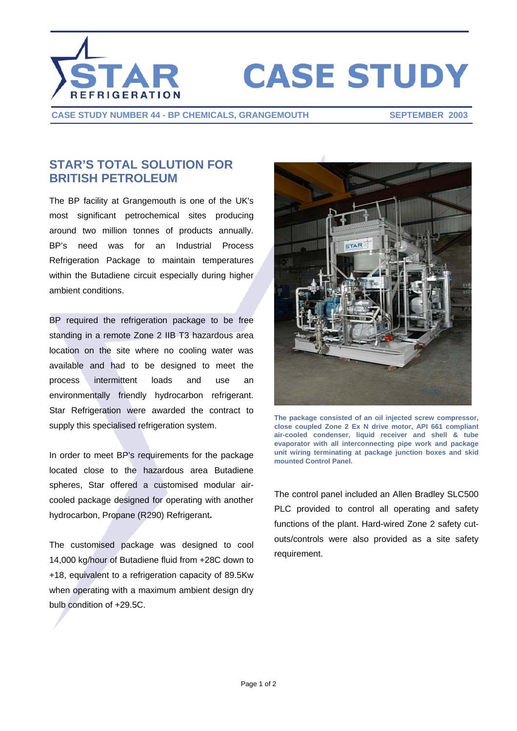

## **CASE STUDY**

**CASE STUDY NUMBER 44 - BP CHEMICALS, GRANGEMOUTH SEPTEMBER 2003**

## **STAR'S TOTAL SOLUTION FOR BRITISH PETROLEUM**

The BP facility at Grangemouth is one of the UK's most significant petrochemical sites producing around two million tonnes of products annually. BP's need was for an Industrial Process Refrigeration Package to maintain temperatures within the Butadiene circuit especially during higher ambient conditions.

BP required the refrigeration package to be free standing in a remote Zone 2 IIB T3 hazardous area location on the site where no cooling water was available and had to be designed to meet the process intermittent loads and use an environmentally friendly hydrocarbon refrigerant. Star Refrigeration were awarded the contract to supply this specialised refrigeration system.

In order to meet BP's requirements for the package located close to the hazardous area Butadiene spheres, Star offered a customised modular aircooled package designed for operating with another hydrocarbon, Propane (R290) Refrigerant**.** 

The customised package was designed to cool 14,000 kg/hour of Butadiene fluid from +28C down to +18, equivalent to a refrigeration capacity of 89.5Kw when operating with a maximum ambient design dry bulb condition of +29.5C.



**The package consisted of an oil injected screw compressor, close coupled Zone 2 Ex N drive motor, API 661 compliant air-cooled condenser, liquid receiver and shell & tube evaporator with all interconnecting pipe work and package unit wiring terminating at package junction boxes and skid mounted Control Panel.** 

The control panel included an Allen Bradley SLC500 PLC provided to control all operating and safety functions of the plant. Hard-wired Zone 2 safety cutouts/controls were also provided as a site safety requirement.